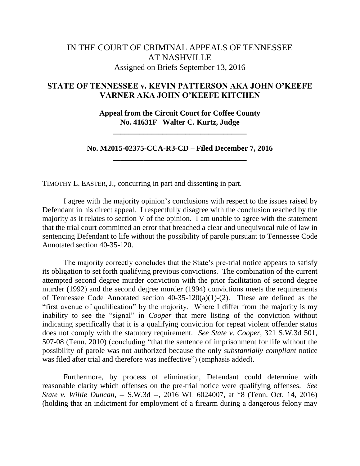## IN THE COURT OF CRIMINAL APPEALS OF TENNESSEE AT NASHVILLE Assigned on Briefs September 13, 2016

## **STATE OF TENNESSEE v. KEVIN PATTERSON AKA JOHN O'KEEFE VARNER AKA JOHN O'KEEFE KITCHEN**

**Appeal from the Circuit Court for Coffee County No. 41631F Walter C. Kurtz, Judge**

**\_\_\_\_\_\_\_\_\_\_\_\_\_\_\_\_\_\_\_\_\_\_\_\_\_\_\_\_\_\_\_\_\_\_\_**

**No. M2015-02375-CCA-R3-CD – Filed December 7, 2016 \_\_\_\_\_\_\_\_\_\_\_\_\_\_\_\_\_\_\_\_\_\_\_\_\_\_\_\_\_\_\_\_\_\_\_**

TIMOTHY L. EASTER, J., concurring in part and dissenting in part.

I agree with the majority opinion's conclusions with respect to the issues raised by Defendant in his direct appeal. I respectfully disagree with the conclusion reached by the majority as it relates to section V of the opinion. I am unable to agree with the statement that the trial court committed an error that breached a clear and unequivocal rule of law in sentencing Defendant to life without the possibility of parole pursuant to Tennessee Code Annotated section 40-35-120.

The majority correctly concludes that the State's pre-trial notice appears to satisfy its obligation to set forth qualifying previous convictions. The combination of the current attempted second degree murder conviction with the prior facilitation of second degree murder (1992) and the second degree murder (1994) convictions meets the requirements of Tennessee Code Annotated section 40-35-120(a)(1)-(2). These are defined as the "first avenue of qualification" by the majority. Where I differ from the majority is my inability to see the "signal" in *Cooper* that mere listing of the conviction without indicating specifically that it is a qualifying conviction for repeat violent offender status does not comply with the statutory requirement. *See State v. Cooper*, 321 S.W.3d 501, 507-08 (Tenn. 2010) (concluding "that the sentence of imprisonment for life without the possibility of parole was not authorized because the only *substantially compliant* notice was filed after trial and therefore was ineffective") (emphasis added).

Furthermore, by process of elimination, Defendant could determine with reasonable clarity which offenses on the pre-trial notice were qualifying offenses. *See State v. Willie Duncan*, -- S.W.3d --, 2016 WL 6024007, at \*8 (Tenn. Oct. 14, 2016) (holding that an indictment for employment of a firearm during a dangerous felony may